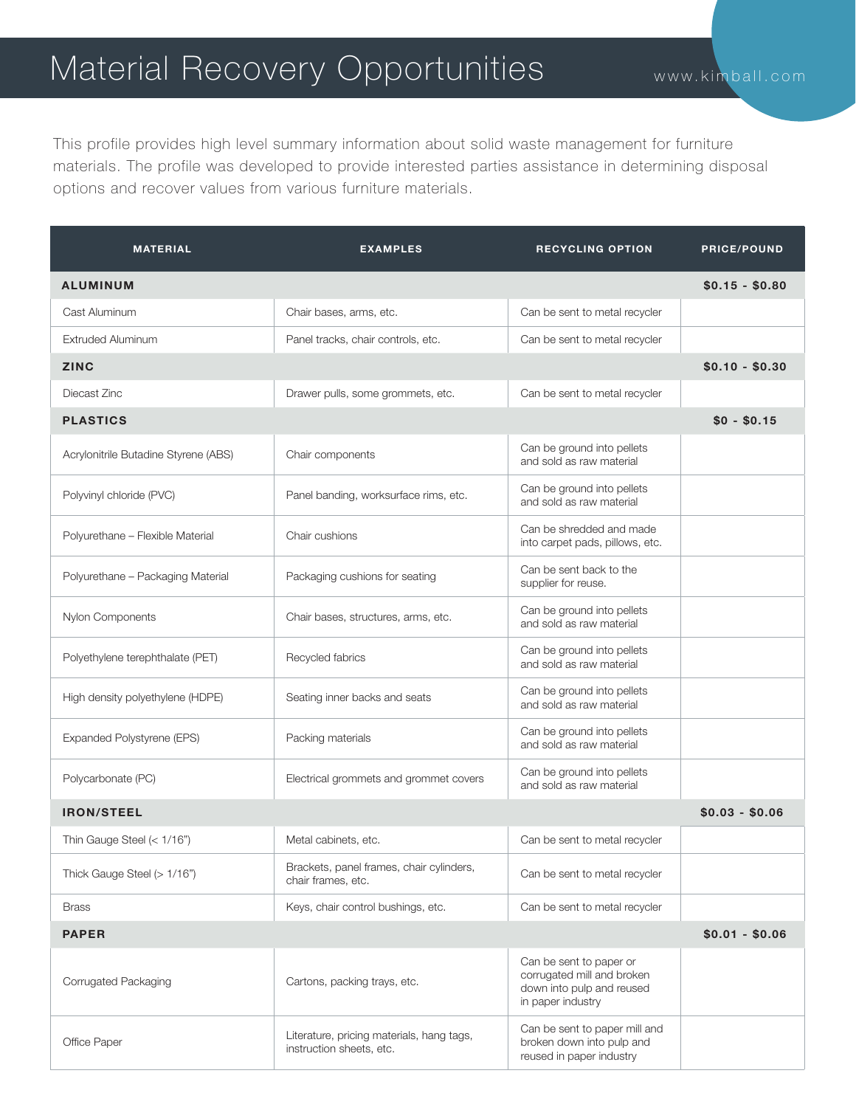## Material Recovery Opportunities www.kimball.com

This profile provides high level summary information about solid waste management for furniture materials. The profile was developed to provide interested parties assistance in determining disposal options and recover values from various furniture materials.

| <b>MATERIAL</b>                      | <b>EXAMPLES</b>                                                       | <b>RECYCLING OPTION</b>                                                                                 | <b>PRICE/POUND</b> |
|--------------------------------------|-----------------------------------------------------------------------|---------------------------------------------------------------------------------------------------------|--------------------|
| <b>ALUMINUM</b>                      |                                                                       |                                                                                                         | $$0.15 - $0.80$    |
| Cast Aluminum                        | Chair bases, arms, etc.                                               | Can be sent to metal recycler                                                                           |                    |
| <b>Extruded Aluminum</b>             | Panel tracks, chair controls, etc.                                    | Can be sent to metal recycler                                                                           |                    |
| <b>ZINC</b>                          |                                                                       |                                                                                                         | $$0.10 - $0.30$    |
| Diecast Zinc                         | Drawer pulls, some grommets, etc.                                     | Can be sent to metal recycler                                                                           |                    |
| <b>PLASTICS</b>                      |                                                                       |                                                                                                         | $$0 - $0.15$       |
| Acrylonitrile Butadine Styrene (ABS) | Chair components                                                      | Can be ground into pellets<br>and sold as raw material                                                  |                    |
| Polyvinyl chloride (PVC)             | Panel banding, worksurface rims, etc.                                 | Can be ground into pellets<br>and sold as raw material                                                  |                    |
| Polyurethane - Flexible Material     | Chair cushions                                                        | Can be shredded and made<br>into carpet pads, pillows, etc.                                             |                    |
| Polyurethane - Packaging Material    | Packaging cushions for seating                                        | Can be sent back to the<br>supplier for reuse.                                                          |                    |
| Nylon Components                     | Chair bases, structures, arms, etc.                                   | Can be ground into pellets<br>and sold as raw material                                                  |                    |
| Polyethylene terephthalate (PET)     | Recycled fabrics                                                      | Can be ground into pellets<br>and sold as raw material                                                  |                    |
| High density polyethylene (HDPE)     | Seating inner backs and seats                                         | Can be ground into pellets<br>and sold as raw material                                                  |                    |
| Expanded Polystyrene (EPS)           | Packing materials                                                     | Can be ground into pellets<br>and sold as raw material                                                  |                    |
| Polycarbonate (PC)                   | Electrical grommets and grommet covers                                | Can be ground into pellets<br>and sold as raw material                                                  |                    |
| <b>IRON/STEEL</b>                    |                                                                       |                                                                                                         | $$0.03 - $0.06$    |
| Thin Gauge Steel (< 1/16")           | Metal cabinets, etc.                                                  | Can be sent to metal recycler                                                                           |                    |
| Thick Gauge Steel (> 1/16")          | Brackets, panel frames, chair cylinders,<br>chair frames, etc.        | Can be sent to metal recycler                                                                           |                    |
| <b>Brass</b>                         | Keys, chair control bushings, etc.                                    | Can be sent to metal recycler                                                                           |                    |
| $$0.01 - $0.06$<br><b>PAPER</b>      |                                                                       |                                                                                                         |                    |
| Corrugated Packaging                 | Cartons, packing trays, etc.                                          | Can be sent to paper or<br>corrugated mill and broken<br>down into pulp and reused<br>in paper industry |                    |
| Office Paper                         | Literature, pricing materials, hang tags,<br>instruction sheets, etc. | Can be sent to paper mill and<br>broken down into pulp and<br>reused in paper industry                  |                    |